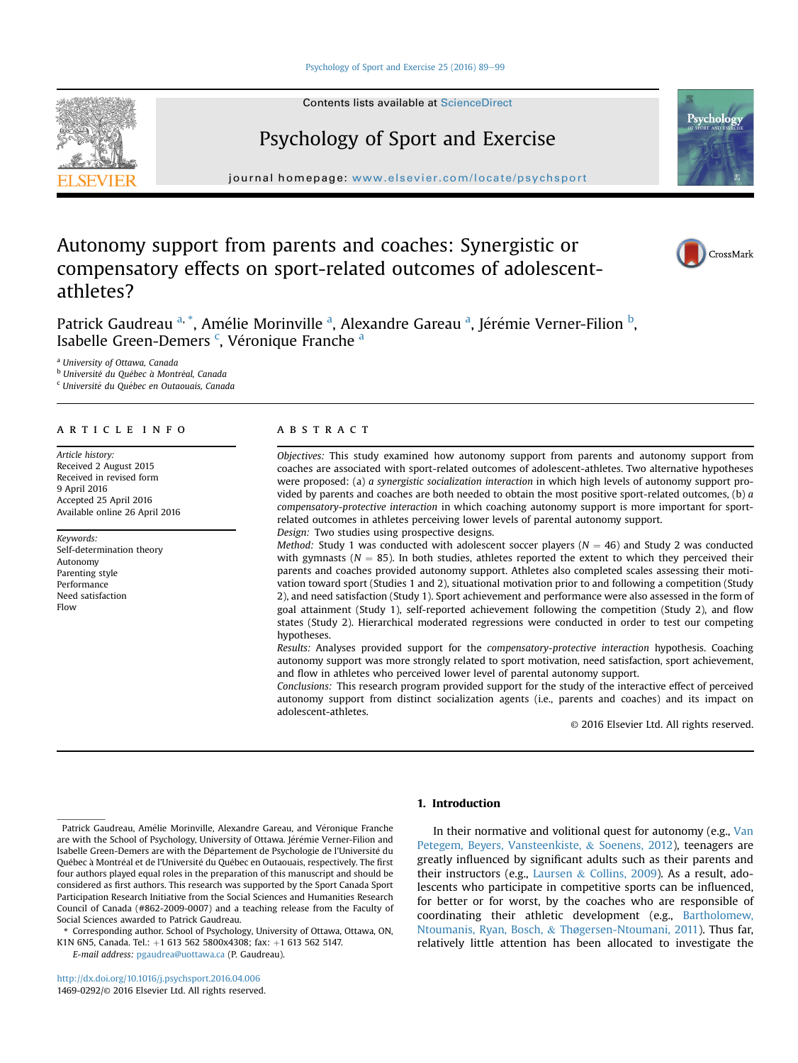#### [Psychology of Sport and Exercise 25 \(2016\) 89](http://dx.doi.org/10.1016/j.psychsport.2016.04.006)-[99](http://dx.doi.org/10.1016/j.psychsport.2016.04.006)



Contents lists available at ScienceDirect

# Psychology of Sport and Exercise

journal homepage: [www.elsevier.com/locate/psychsport](http://www.elsevier.com/locate/psychsport)

# Autonomy support from parents and coaches: Synergistic or compensatory effects on sport-related outcomes of adolescentathletes?



Psycholo



Patrick Gaudreau <sup>a, \*</sup>, Amélie Morinville <sup>a</sup>, Alexandre Gareau <sup>a</sup>, Jérémie Verner-Filion <sup>b</sup>, Isabelle Green-Demers<sup>c</sup>, Véronique Franche <sup>a</sup>

<sup>a</sup> University of Ottawa, Canada

<sup>b</sup> Université du Québec à Montréal, Canada

<sup>c</sup> Université du Québec en Outaouais, Canada

# article info

Article history: Received 2 August 2015 Received in revised form 9 April 2016 Accepted 25 April 2016 Available online 26 April 2016

Keywords: Self-determination theory Autonomy Parenting style Performance Need satisfaction Flow

## **ABSTRACT**

Objectives: This study examined how autonomy support from parents and autonomy support from coaches are associated with sport-related outcomes of adolescent-athletes. Two alternative hypotheses were proposed: (a) a synergistic socialization interaction in which high levels of autonomy support provided by parents and coaches are both needed to obtain the most positive sport-related outcomes, (b)  $a$ compensatory-protective interaction in which coaching autonomy support is more important for sportrelated outcomes in athletes perceiving lower levels of parental autonomy support. Design: Two studies using prospective designs.

*Method:* Study 1 was conducted with adolescent soccer players ( $N = 46$ ) and Study 2 was conducted with gymnasts ( $N = 85$ ). In both studies, athletes reported the extent to which they perceived their parents and coaches provided autonomy support. Athletes also completed scales assessing their motivation toward sport (Studies 1 and 2), situational motivation prior to and following a competition (Study 2), and need satisfaction (Study 1). Sport achievement and performance were also assessed in the form of goal attainment (Study 1), self-reported achievement following the competition (Study 2), and flow states (Study 2). Hierarchical moderated regressions were conducted in order to test our competing hypotheses.

Results: Analyses provided support for the compensatory-protective interaction hypothesis. Coaching autonomy support was more strongly related to sport motivation, need satisfaction, sport achievement, and flow in athletes who perceived lower level of parental autonomy support.

Conclusions: This research program provided support for the study of the interactive effect of perceived autonomy support from distinct socialization agents (i.e., parents and coaches) and its impact on adolescent-athletes.

© 2016 Elsevier Ltd. All rights reserved.

Corresponding author. School of Psychology, University of Ottawa, Ottawa, ON, K1N 6N5, Canada. Tel.: +1 613 562 5800x4308; fax: +1 613 562 5147.

E-mail address: [pgaudrea@uottawa.ca](mailto:pgaudrea@uottawa.ca) (P. Gaudreau).

#### 1. Introduction

In their normative and volitional quest for autonomy (e.g., [Van](#page-10-0) [Petegem, Beyers, Vansteenkiste,](#page-10-0) & [Soenens, 2012](#page-10-0)), teenagers are greatly influenced by significant adults such as their parents and their instructors (e.g., [Laursen](#page-10-0) & [Collins, 2009](#page-10-0)). As a result, adolescents who participate in competitive sports can be influenced, for better or for worst, by the coaches who are responsible of coordinating their athletic development (e.g., [Bartholomew,](#page-9-0) [Ntoumanis, Ryan, Bosch,](#page-9-0) & [Thøgersen-Ntoumani, 2011\)](#page-9-0). Thus far, relatively little attention has been allocated to investigate the

Patrick Gaudreau, Amélie Morinville, Alexandre Gareau, and Véronique Franche are with the School of Psychology, University of Ottawa. Jérémie Verner-Filion and Isabelle Green-Demers are with the Département de Psychologie de l'Université du Québec à Montréal et de l'Université du Québec en Outaouais, respectively. The first four authors played equal roles in the preparation of this manuscript and should be considered as first authors. This research was supported by the Sport Canada Sport Participation Research Initiative from the Social Sciences and Humanities Research Council of Canada (#862-2009-0007) and a teaching release from the Faculty of Social Sciences awarded to Patrick Gaudreau.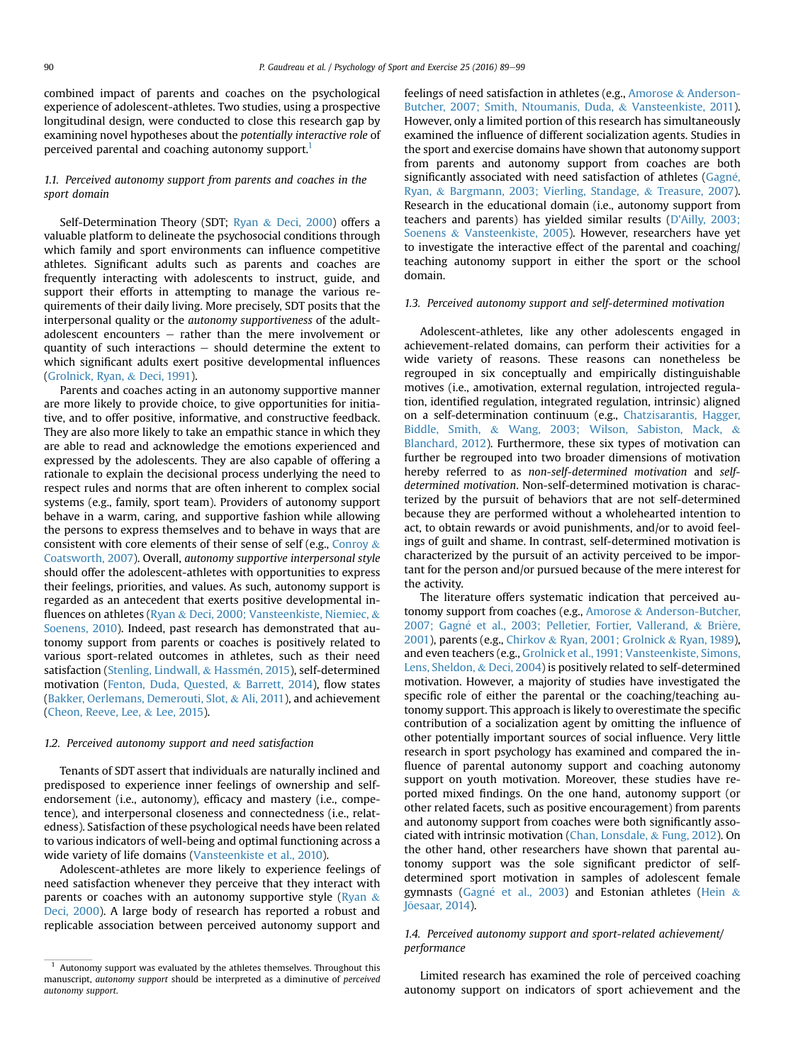combined impact of parents and coaches on the psychological experience of adolescent-athletes. Two studies, using a prospective longitudinal design, were conducted to close this research gap by examining novel hypotheses about the potentially interactive role of perceived parental and coaching autonomy support.<sup>1</sup>

# 1.1. Perceived autonomy support from parents and coaches in the sport domain

Self-Determination Theory (SDT; [Ryan](#page-10-0) & [Deci, 2000](#page-10-0)) offers a valuable platform to delineate the psychosocial conditions through which family and sport environments can influence competitive athletes. Significant adults such as parents and coaches are frequently interacting with adolescents to instruct, guide, and support their efforts in attempting to manage the various requirements of their daily living. More precisely, SDT posits that the interpersonal quality or the autonomy supportiveness of the adultadolescent encounters  $-$  rather than the mere involvement or quantity of such interactions  $-$  should determine the extent to which significant adults exert positive developmental influences ([Grolnick, Ryan,](#page-10-0) & [Deci, 1991\)](#page-10-0).

Parents and coaches acting in an autonomy supportive manner are more likely to provide choice, to give opportunities for initiative, and to offer positive, informative, and constructive feedback. They are also more likely to take an empathic stance in which they are able to read and acknowledge the emotions experienced and expressed by the adolescents. They are also capable of offering a rationale to explain the decisional process underlying the need to respect rules and norms that are often inherent to complex social systems (e.g., family, sport team). Providers of autonomy support behave in a warm, caring, and supportive fashion while allowing the persons to express themselves and to behave in ways that are consistent with core elements of their sense of self (e.g., [Conroy](#page-9-0)  $\&$ [Coatsworth, 2007\)](#page-9-0). Overall, autonomy supportive interpersonal style should offer the adolescent-athletes with opportunities to express their feelings, priorities, and values. As such, autonomy support is regarded as an antecedent that exerts positive developmental influences on athletes [\(Ryan](#page-10-0) & [Deci, 2000; Vansteenkiste, Niemiec,](#page-10-0) & [Soenens, 2010](#page-10-0)). Indeed, past research has demonstrated that autonomy support from parents or coaches is positively related to various sport-related outcomes in athletes, such as their need satisfaction ([Stenling, Lindwall,](#page-10-0) & Hassmén, 2015), self-determined motivation ([Fenton, Duda, Quested,](#page-10-0) & [Barrett, 2014](#page-10-0)), flow states ([Bakker, Oerlemans, Demerouti, Slot,](#page-9-0) & [Ali, 2011](#page-9-0)), and achievement ([Cheon, Reeve, Lee,](#page-9-0) & [Lee, 2015\)](#page-9-0).

#### 1.2. Perceived autonomy support and need satisfaction

Tenants of SDT assert that individuals are naturally inclined and predisposed to experience inner feelings of ownership and selfendorsement (i.e., autonomy), efficacy and mastery (i.e., competence), and interpersonal closeness and connectedness (i.e., relatedness). Satisfaction of these psychological needs have been related to various indicators of well-being and optimal functioning across a wide variety of life domains ([Vansteenkiste et al., 2010\)](#page-10-0).

Adolescent-athletes are more likely to experience feelings of need satisfaction whenever they perceive that they interact with parents or coaches with an autonomy supportive style [\(Ryan](#page-10-0)  $\&$ [Deci, 2000](#page-10-0)). A large body of research has reported a robust and replicable association between perceived autonomy support and feelings of need satisfaction in athletes (e.g., [Amorose](#page-9-0) & [Anderson-](#page-9-0)[Butcher, 2007; Smith, Ntoumanis, Duda,](#page-9-0) & [Vansteenkiste, 2011\)](#page-9-0). However, only a limited portion of this research has simultaneously examined the influence of different socialization agents. Studies in the sport and exercise domains have shown that autonomy support from parents and autonomy support from coaches are both significantly associated with need satisfaction of athletes (Gagné, [Ryan,](#page-10-0) & [Bargmann, 2003; Vierling, Standage,](#page-10-0) & [Treasure, 2007\)](#page-10-0). Research in the educational domain (i.e., autonomy support from teachers and parents) has yielded similar results ([D'Ailly, 2003;](#page-10-0) [Soenens](#page-10-0) & [Vansteenkiste, 2005\)](#page-10-0). However, researchers have yet to investigate the interactive effect of the parental and coaching/ teaching autonomy support in either the sport or the school domain.

#### 1.3. Perceived autonomy support and self-determined motivation

Adolescent-athletes, like any other adolescents engaged in achievement-related domains, can perform their activities for a wide variety of reasons. These reasons can nonetheless be regrouped in six conceptually and empirically distinguishable motives (i.e., amotivation, external regulation, introjected regulation, identified regulation, integrated regulation, intrinsic) aligned on a self-determination continuum (e.g., [Chatzisarantis, Hagger,](#page-9-0) [Biddle, Smith,](#page-9-0) & [Wang, 2003; Wilson, Sabiston, Mack,](#page-9-0) & [Blanchard, 2012](#page-9-0)). Furthermore, these six types of motivation can further be regrouped into two broader dimensions of motivation hereby referred to as non-self-determined motivation and selfdetermined motivation. Non-self-determined motivation is characterized by the pursuit of behaviors that are not self-determined because they are performed without a wholehearted intention to act, to obtain rewards or avoid punishments, and/or to avoid feelings of guilt and shame. In contrast, self-determined motivation is characterized by the pursuit of an activity perceived to be important for the person and/or pursued because of the mere interest for the activity.

The literature offers systematic indication that perceived autonomy support from coaches (e.g., [Amorose](#page-9-0) & [Anderson-Butcher,](#page-9-0) [2007; Gagn](#page-9-0)é [et al., 2003; Pelletier, Fortier, Vallerand,](#page-9-0) & Brière, [2001\)](#page-9-0), parents (e.g., [Chirkov](#page-9-0) & [Ryan, 2001; Grolnick](#page-9-0) & [Ryan, 1989\)](#page-9-0), and even teachers (e.g., [Grolnick et al., 1991; Vansteenkiste, Simons,](#page-10-0) [Lens, Sheldon,](#page-10-0) & [Deci, 2004](#page-10-0)) is positively related to self-determined motivation. However, a majority of studies have investigated the specific role of either the parental or the coaching/teaching autonomy support. This approach is likely to overestimate the specific contribution of a socialization agent by omitting the influence of other potentially important sources of social influence. Very little research in sport psychology has examined and compared the influence of parental autonomy support and coaching autonomy support on youth motivation. Moreover, these studies have reported mixed findings. On the one hand, autonomy support (or other related facets, such as positive encouragement) from parents and autonomy support from coaches were both significantly associated with intrinsic motivation ([Chan, Lonsdale,](#page-9-0) & [Fung, 2012](#page-9-0)). On the other hand, other researchers have shown that parental autonomy support was the sole significant predictor of selfdetermined sport motivation in samples of adolescent female gymnasts ([Gagn](#page-10-0)é [et al., 2003](#page-10-0)) and Estonian athletes ([Hein](#page-10-0)  $\&$ [J](#page-10-0)õ[esaar, 2014](#page-10-0)).

# 1.4. Perceived autonomy support and sport-related achievement/ performance

Limited research has examined the role of perceived coaching autonomy support on indicators of sport achievement and the

 $1$  Autonomy support was evaluated by the athletes themselves. Throughout this manuscript, autonomy support should be interpreted as a diminutive of perceived autonomy support.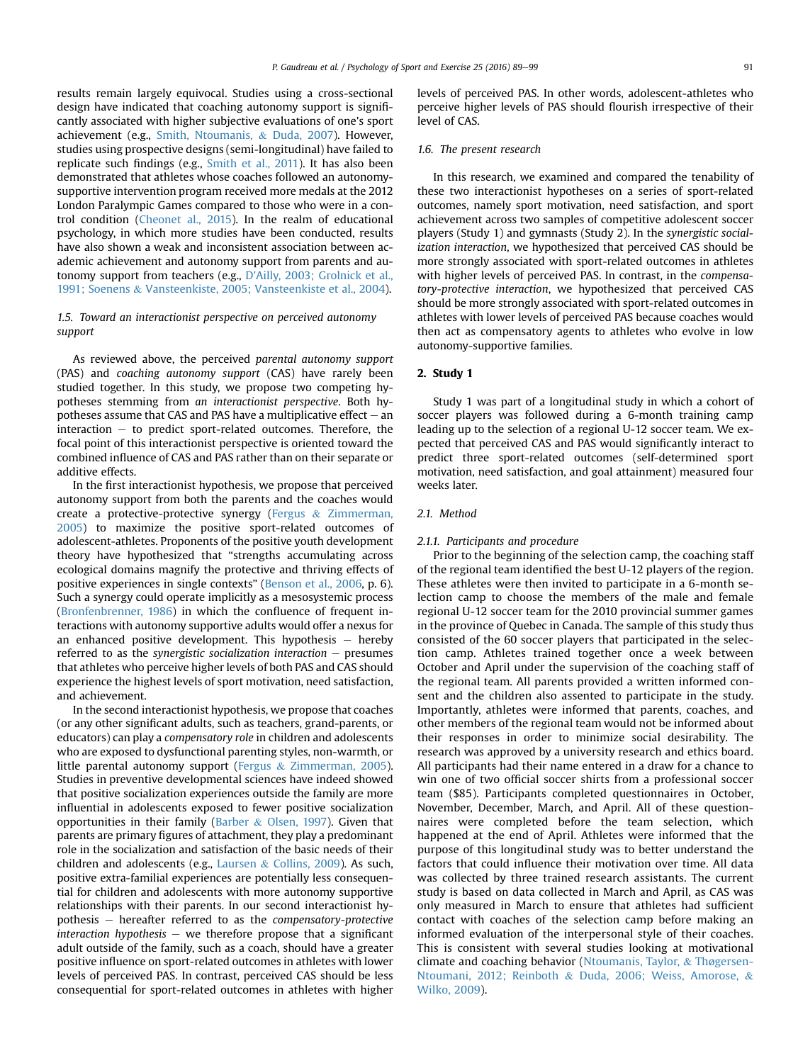results remain largely equivocal. Studies using a cross-sectional design have indicated that coaching autonomy support is significantly associated with higher subjective evaluations of one's sport achievement (e.g., [Smith, Ntoumanis,](#page-10-0) & [Duda, 2007\)](#page-10-0). However, studies using prospective designs (semi-longitudinal) have failed to replicate such findings (e.g., [Smith et al., 2011](#page-10-0)). It has also been demonstrated that athletes whose coaches followed an autonomysupportive intervention program received more medals at the 2012 London Paralympic Games compared to those who were in a control condition ([Cheonet al., 2015\)](#page-9-0). In the realm of educational psychology, in which more studies have been conducted, results have also shown a weak and inconsistent association between academic achievement and autonomy support from parents and autonomy support from teachers (e.g., [D'Ailly, 2003; Grolnick et al.,](#page-10-0) [1991; Soenens](#page-10-0) & [Vansteenkiste, 2005; Vansteenkiste et al., 2004](#page-10-0)).

# 1.5. Toward an interactionist perspective on perceived autonomy support

As reviewed above, the perceived parental autonomy support (PAS) and coaching autonomy support (CAS) have rarely been studied together. In this study, we propose two competing hypotheses stemming from an interactionist perspective. Both hypotheses assume that CAS and PAS have a multiplicative effect  $-$  an  $interaction - to predict sport-related outcomes. Therefore, the$ focal point of this interactionist perspective is oriented toward the combined influence of CAS and PAS rather than on their separate or additive effects.

In the first interactionist hypothesis, we propose that perceived autonomy support from both the parents and the coaches would create a protective-protective synergy [\(Fergus](#page-10-0) & [Zimmerman,](#page-10-0) [2005\)](#page-10-0) to maximize the positive sport-related outcomes of adolescent-athletes. Proponents of the positive youth development theory have hypothesized that "strengths accumulating across ecological domains magnify the protective and thriving effects of positive experiences in single contexts" ([Benson et al., 2006](#page-9-0), p. 6). Such a synergy could operate implicitly as a mesosystemic process ([Bronfenbrenner, 1986\)](#page-9-0) in which the confluence of frequent interactions with autonomy supportive adults would offer a nexus for an enhanced positive development. This hypothesis  $-$  hereby referred to as the synergistic socialization interaction  $-$  presumes that athletes who perceive higher levels of both PAS and CAS should experience the highest levels of sport motivation, need satisfaction, and achievement.

In the second interactionist hypothesis, we propose that coaches (or any other significant adults, such as teachers, grand-parents, or educators) can play a compensatory role in children and adolescents who are exposed to dysfunctional parenting styles, non-warmth, or little parental autonomy support ([Fergus](#page-10-0) & [Zimmerman, 2005\)](#page-10-0). Studies in preventive developmental sciences have indeed showed that positive socialization experiences outside the family are more influential in adolescents exposed to fewer positive socialization opportunities in their family ([Barber](#page-9-0)  $&$  [Olsen, 1997](#page-9-0)). Given that parents are primary figures of attachment, they play a predominant role in the socialization and satisfaction of the basic needs of their children and adolescents (e.g., [Laursen](#page-10-0) & [Collins, 2009\)](#page-10-0). As such, positive extra-familial experiences are potentially less consequential for children and adolescents with more autonomy supportive relationships with their parents. In our second interactionist hypothesis  $-$  hereafter referred to as the compensatory-protective  $interaction$  hypothesis  $-$  we therefore propose that a significant adult outside of the family, such as a coach, should have a greater positive influence on sport-related outcomes in athletes with lower levels of perceived PAS. In contrast, perceived CAS should be less consequential for sport-related outcomes in athletes with higher

levels of perceived PAS. In other words, adolescent-athletes who perceive higher levels of PAS should flourish irrespective of their level of CAS.

## 1.6. The present research

In this research, we examined and compared the tenability of these two interactionist hypotheses on a series of sport-related outcomes, namely sport motivation, need satisfaction, and sport achievement across two samples of competitive adolescent soccer players (Study 1) and gymnasts (Study 2). In the synergistic socialization interaction, we hypothesized that perceived CAS should be more strongly associated with sport-related outcomes in athletes with higher levels of perceived PAS. In contrast, in the compensatory-protective interaction, we hypothesized that perceived CAS should be more strongly associated with sport-related outcomes in athletes with lower levels of perceived PAS because coaches would then act as compensatory agents to athletes who evolve in low autonomy-supportive families.

## 2. Study 1

Study 1 was part of a longitudinal study in which a cohort of soccer players was followed during a 6-month training camp leading up to the selection of a regional U-12 soccer team. We expected that perceived CAS and PAS would significantly interact to predict three sport-related outcomes (self-determined sport motivation, need satisfaction, and goal attainment) measured four weeks later.

## 2.1. Method

## 2.1.1. Participants and procedure

Prior to the beginning of the selection camp, the coaching staff of the regional team identified the best U-12 players of the region. These athletes were then invited to participate in a 6-month selection camp to choose the members of the male and female regional U-12 soccer team for the 2010 provincial summer games in the province of Quebec in Canada. The sample of this study thus consisted of the 60 soccer players that participated in the selection camp. Athletes trained together once a week between October and April under the supervision of the coaching staff of the regional team. All parents provided a written informed consent and the children also assented to participate in the study. Importantly, athletes were informed that parents, coaches, and other members of the regional team would not be informed about their responses in order to minimize social desirability. The research was approved by a university research and ethics board. All participants had their name entered in a draw for a chance to win one of two official soccer shirts from a professional soccer team (\$85). Participants completed questionnaires in October, November, December, March, and April. All of these questionnaires were completed before the team selection, which happened at the end of April. Athletes were informed that the purpose of this longitudinal study was to better understand the factors that could influence their motivation over time. All data was collected by three trained research assistants. The current study is based on data collected in March and April, as CAS was only measured in March to ensure that athletes had sufficient contact with coaches of the selection camp before making an informed evaluation of the interpersonal style of their coaches. This is consistent with several studies looking at motivational climate and coaching behavior ([Ntoumanis, Taylor,](#page-10-0) & [Th](#page-10-0)ø[gersen-](#page-10-0)[Ntoumani, 2012; Reinboth](#page-10-0) & [Duda, 2006; Weiss, Amorose,](#page-10-0) & [Wilko, 2009\)](#page-10-0).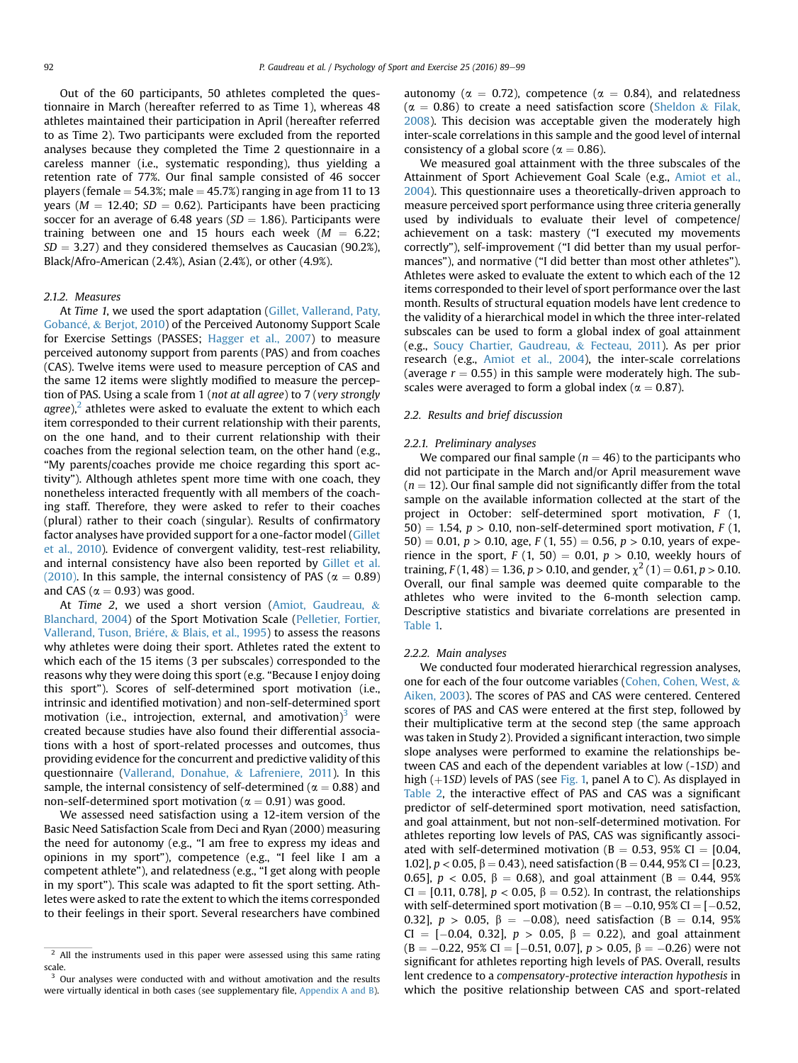Out of the 60 participants, 50 athletes completed the questionnaire in March (hereafter referred to as Time 1), whereas 48 athletes maintained their participation in April (hereafter referred to as Time 2). Two participants were excluded from the reported analyses because they completed the Time 2 questionnaire in a careless manner (i.e., systematic responding), thus yielding a retention rate of 77%. Our final sample consisted of 46 soccer players (female  $=$  54.3%; male  $=$  45.7%) ranging in age from 11 to 13 years ( $M = 12.40$ ;  $SD = 0.62$ ). Participants have been practicing soccer for an average of 6.48 years ( $SD = 1.86$ ). Participants were training between one and 15 hours each week  $(M = 6.22;$  $SD = 3.27$ ) and they considered themselves as Caucasian (90.2%), Black/Afro-American (2.4%), Asian (2.4%), or other (4.9%).

# 2.1.2. Measures

At Time 1, we used the sport adaptation ([Gillet, Vallerand, Paty,](#page-10-0) Gobancé, & [Berjot, 2010](#page-10-0)) of the Perceived Autonomy Support Scale for Exercise Settings (PASSES; [Hagger et al., 2007](#page-10-0)) to measure perceived autonomy support from parents (PAS) and from coaches (CAS). Twelve items were used to measure perception of CAS and the same 12 items were slightly modified to measure the perception of PAS. Using a scale from 1 (not at all agree) to 7 (very strongly agree),<sup>2</sup> athletes were asked to evaluate the extent to which each item corresponded to their current relationship with their parents, on the one hand, and to their current relationship with their coaches from the regional selection team, on the other hand (e.g., "My parents/coaches provide me choice regarding this sport activity"). Although athletes spent more time with one coach, they nonetheless interacted frequently with all members of the coaching staff. Therefore, they were asked to refer to their coaches (plural) rather to their coach (singular). Results of confirmatory factor analyses have provided support for a one-factor model ([Gillet](#page-10-0) [et al., 2010\)](#page-10-0). Evidence of convergent validity, test-rest reliability, and internal consistency have also been reported by [Gillet et al.](#page-10-0) [\(2010\)](#page-10-0). In this sample, the internal consistency of PAS ( $\alpha = 0.89$ ) and CAS ( $\alpha = 0.93$ ) was good.

At Time 2, we used a short version [\(Amiot, Gaudreau,](#page-9-0) & [Blanchard, 2004](#page-9-0)) of the Sport Motivation Scale [\(Pelletier, Fortier,](#page-10-0) [Vallerand, Tuson, Bri](#page-10-0)é[re,](#page-10-0) & [Blais, et al., 1995](#page-10-0)) to assess the reasons why athletes were doing their sport. Athletes rated the extent to which each of the 15 items (3 per subscales) corresponded to the reasons why they were doing this sport (e.g. "Because I enjoy doing this sport"). Scores of self-determined sport motivation (i.e., intrinsic and identified motivation) and non-self-determined sport motivation (i.e., introjection, external, and amotivation) $3$  were created because studies have also found their differential associations with a host of sport-related processes and outcomes, thus providing evidence for the concurrent and predictive validity of this questionnaire [\(Vallerand, Donahue,](#page-10-0) & [Lafreniere, 2011](#page-10-0)). In this sample, the internal consistency of self-determined ( $\alpha = 0.88$ ) and non-self-determined sport motivation ( $\alpha = 0.91$ ) was good.

We assessed need satisfaction using a 12-item version of the Basic Need Satisfaction Scale from Deci and Ryan (2000) measuring the need for autonomy (e.g., "I am free to express my ideas and opinions in my sport"), competence (e.g., "I feel like I am a competent athlete"), and relatedness (e.g., "I get along with people in my sport"). This scale was adapted to fit the sport setting. Athletes were asked to rate the extent to which the items corresponded to their feelings in their sport. Several researchers have combined autonomy ( $\alpha = 0.72$ ), competence ( $\alpha = 0.84$ ), and relatedness ( $\alpha$  = 0.86) to create a need satisfaction score [\(Sheldon](#page-10-0) & [Filak,](#page-10-0) [2008](#page-10-0)). This decision was acceptable given the moderately high inter-scale correlations in this sample and the good level of internal consistency of a global score ( $\alpha = 0.86$ ).

We measured goal attainment with the three subscales of the Attainment of Sport Achievement Goal Scale (e.g., [Amiot et al.,](#page-9-0) [2004](#page-9-0)). This questionnaire uses a theoretically-driven approach to measure perceived sport performance using three criteria generally used by individuals to evaluate their level of competence/ achievement on a task: mastery ("I executed my movements correctly"), self-improvement ("I did better than my usual performances"), and normative ("I did better than most other athletes"). Athletes were asked to evaluate the extent to which each of the 12 items corresponded to their level of sport performance over the last month. Results of structural equation models have lent credence to the validity of a hierarchical model in which the three inter-related subscales can be used to form a global index of goal attainment (e.g., [Soucy Chartier, Gaudreau,](#page-10-0) & [Fecteau, 2011](#page-10-0)). As per prior research (e.g., [Amiot et al., 2004](#page-9-0)), the inter-scale correlations (average  $r = 0.55$ ) in this sample were moderately high. The subscales were averaged to form a global index ( $\alpha = 0.87$ ).

## 2.2. Results and brief discussion

#### 2.2.1. Preliminary analyses

We compared our final sample ( $n = 46$ ) to the participants who did not participate in the March and/or April measurement wave  $(n = 12)$ . Our final sample did not significantly differ from the total sample on the available information collected at the start of the project in October: self-determined sport motivation, F (1,  $50) = 1.54$ ,  $p > 0.10$ , non-self-determined sport motivation, F (1,  $50) = 0.01$ ,  $p > 0.10$ , age,  $F(1, 55) = 0.56$ ,  $p > 0.10$ , years of experience in the sport,  $F(1, 50) = 0.01$ ,  $p > 0.10$ , weekly hours of training,  $F(1, 48) = 1.36$ ,  $p > 0.10$ , and gender,  $\chi^2(1) = 0.61$ ,  $p > 0.10$ . Overall, our final sample was deemed quite comparable to the athletes who were invited to the 6-month selection camp. Descriptive statistics and bivariate correlations are presented in [Table 1.](#page-4-0)

#### 2.2.2. Main analyses

We conducted four moderated hierarchical regression analyses, one for each of the four outcome variables ([Cohen, Cohen, West,](#page-9-0) & [Aiken, 2003](#page-9-0)). The scores of PAS and CAS were centered. Centered scores of PAS and CAS were entered at the first step, followed by their multiplicative term at the second step (the same approach was taken in Study 2). Provided a significant interaction, two simple slope analyses were performed to examine the relationships between CAS and each of the dependent variables at low (-1SD) and high  $(+1SD)$  levels of PAS (see [Fig. 1,](#page-4-0) panel A to C). As displayed in [Table 2](#page-5-0), the interactive effect of PAS and CAS was a significant predictor of self-determined sport motivation, need satisfaction, and goal attainment, but not non-self-determined motivation. For athletes reporting low levels of PAS, CAS was significantly associated with self-determined motivation ( $B = 0.53$ , 95% CI = [0.04, 1.02],  $p < 0.05$ ,  $\beta = 0.43$ ), need satisfaction (B = 0.44, 95% CI = [0.23, 0.65],  $p < 0.05$ ,  $\beta = 0.68$ ), and goal attainment (B = 0.44, 95%) CI = [0.11, 0.78],  $p < 0.05$ ,  $\beta = 0.52$ ). In contrast, the relationships with self-determined sport motivation ( $B = -0.10$ , 95% CI = [ $-0.52$ , 0.32],  $p > 0.05$ ,  $\beta = -0.08$ ), need satisfaction (B = 0.14, 95%)  $CI = [-0.04, 0.32], p > 0.05, \beta = 0.22$ , and goal attainment  $(B = -0.22, 95\% \text{ CI} = [-0.51, 0.07], p > 0.05, \beta = -0.26)$  were not significant for athletes reporting high levels of PAS. Overall, results lent credence to a compensatory-protective interaction hypothesis in which the positive relationship between CAS and sport-related

 $\frac{2}{3}$  All the instruments used in this paper were assessed using this same rating scale.

<sup>&</sup>lt;sup>3</sup> Our analyses were conducted with and without amotivation and the results were virtually identical in both cases (see supplementary file, Appendix A and B).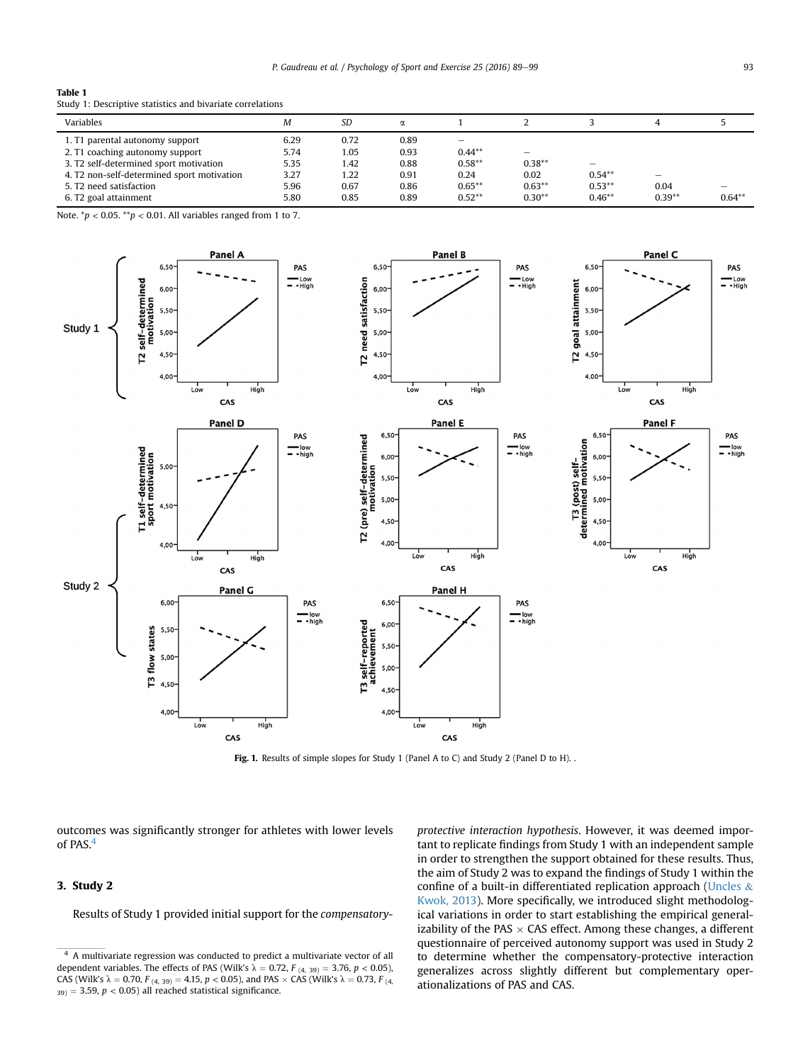# <span id="page-4-0"></span>Table 1

| Study 1: Descriptive statistics and bivariate correlations |  |  |  |
|------------------------------------------------------------|--|--|--|
|------------------------------------------------------------|--|--|--|

| Variables                                  | М    | SD   | α    |           |                   |           |                 |          |
|--------------------------------------------|------|------|------|-----------|-------------------|-----------|-----------------|----------|
| 1. T1 parental autonomy support            | 6.29 | 0.72 | 0.89 | -         |                   |           |                 |          |
| 2. T1 coaching autonomy support            | 5.74 | 1.05 | 0.93 | $0.44***$ | $\qquad \qquad -$ |           |                 |          |
| 3. T2 self-determined sport motivation     | 5.35 | 1.42 | 0.88 | $0.58***$ | $0.38***$         | -         |                 |          |
| 4. T2 non-self-determined sport motivation | 3.27 | 1.22 | 0.91 | 0.24      | 0.02              | $0.54***$ | $\qquad \qquad$ |          |
| 5. T2 need satisfaction                    | 5.96 | 0.67 | 0.86 | $0.65***$ | $0.63**$          | $0.53**$  | 0.04            |          |
| 6. T2 goal attainment                      | 5.80 | 0.85 | 0.89 | $0.52**$  | $0.30**$          | $0.46***$ | $0.39**$        | $0.64**$ |

Note.  $\sp{*}p$  < 0.05.  $\sp{*}p$  < 0.01. All variables ranged from 1 to 7.



Fig. 1. Results of simple slopes for Study 1 (Panel A to C) and Study 2 (Panel D to H). .

outcomes was significantly stronger for athletes with lower levels of PAS.<sup>4</sup>

# 3. Study 2

Results of Study 1 provided initial support for the compensatory-

protective interaction hypothesis. However, it was deemed important to replicate findings from Study 1 with an independent sample in order to strengthen the support obtained for these results. Thus, the aim of Study 2 was to expand the findings of Study 1 within the confine of a built-in differentiated replication approach [\(Uncles](#page-10-0) & [Kwok, 2013\)](#page-10-0). More specifically, we introduced slight methodological variations in order to start establishing the empirical generalizability of the PAS  $\times$  CAS effect. Among these changes, a different questionnaire of perceived autonomy support was used in Study 2 to determine whether the compensatory-protective interaction generalizes across slightly different but complementary operationalizations of PAS and CAS.

 $\frac{4}{4}$  A multivariate regression was conducted to predict a multivariate vector of all dependent variables. The effects of PAS (Wilk's  $\lambda = 0.72$ , F (4, 39) = 3.76, p < 0.05), CAS (Wilk's  $\lambda = 0.70$ ,  $F (4, 39) = 4.15$ ,  $p < 0.05$ ), and PAS  $\times$  CAS (Wilk's  $\lambda = 0.73$ ,  $F (4, 49)$  $39$  = 3.59,  $p < 0.05$ ) all reached statistical significance.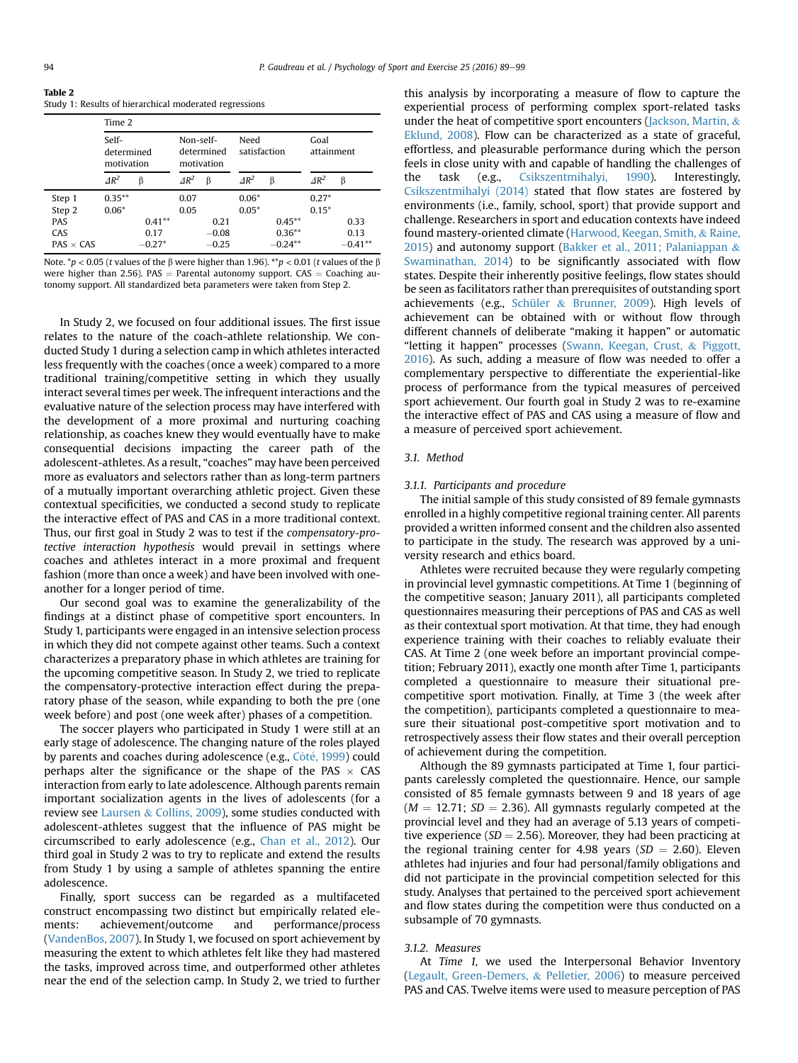<span id="page-5-0"></span>Table 2 Study 1: Results of hierarchical moderated regressions

|                  | Time 2                            |           |              |                                                  |              |           |                    |            |  |
|------------------|-----------------------------------|-----------|--------------|--------------------------------------------------|--------------|-----------|--------------------|------------|--|
|                  | Self-<br>determined<br>motivation |           | Non-self-    | Need<br>satisfaction<br>determined<br>motivation |              |           | Goal<br>attainment |            |  |
|                  | $\Delta R^2$                      | ß         | $\Delta R^2$ | ß                                                | $\Delta R^2$ | ß         | $\Delta R^2$       | ß          |  |
| Step 1           | $0.35***$                         |           | 0.07         |                                                  | $0.06*$      |           | $0.27*$            |            |  |
| Step 2           | $0.06*$                           |           | 0.05         |                                                  | $0.05*$      |           | $0.15*$            |            |  |
| <b>PAS</b>       |                                   | $0.41***$ |              | 0.21                                             |              | $0.45***$ |                    | 0.33       |  |
| CAS              |                                   | 0.17      |              | $-0.08$                                          |              | $0.36***$ |                    | 0.13       |  |
| $PAS \times CAS$ |                                   | $-0.27*$  |              | $-0.25$                                          |              | $-0.24**$ |                    | $-0.41***$ |  |

Note.  $p < 0.05$  (*t* values of the  $\beta$  were higher than 1.96). \*\*  $p < 0.01$  (*t* values of the  $\beta$ were higher than 2.56). PAS = Parental autonomy support.  $CAS = Coaching$  autonomy support. All standardized beta parameters were taken from Step 2.

In Study 2, we focused on four additional issues. The first issue relates to the nature of the coach-athlete relationship. We conducted Study 1 during a selection camp in which athletes interacted less frequently with the coaches (once a week) compared to a more traditional training/competitive setting in which they usually interact several times per week. The infrequent interactions and the evaluative nature of the selection process may have interfered with the development of a more proximal and nurturing coaching relationship, as coaches knew they would eventually have to make consequential decisions impacting the career path of the adolescent-athletes. As a result, "coaches" may have been perceived more as evaluators and selectors rather than as long-term partners of a mutually important overarching athletic project. Given these contextual specificities, we conducted a second study to replicate the interactive effect of PAS and CAS in a more traditional context. Thus, our first goal in Study 2 was to test if the compensatory-protective interaction hypothesis would prevail in settings where coaches and athletes interact in a more proximal and frequent fashion (more than once a week) and have been involved with oneanother for a longer period of time.

Our second goal was to examine the generalizability of the findings at a distinct phase of competitive sport encounters. In Study 1, participants were engaged in an intensive selection process in which they did not compete against other teams. Such a context characterizes a preparatory phase in which athletes are training for the upcoming competitive season. In Study 2, we tried to replicate the compensatory-protective interaction effect during the preparatory phase of the season, while expanding to both the pre (one week before) and post (one week after) phases of a competition.

The soccer players who participated in Study 1 were still at an early stage of adolescence. The changing nature of the roles played by parents and coaches during adolescence (e.g., Côté[, 1999](#page-9-0)) could perhaps alter the significance or the shape of the PAS  $\times$  CAS interaction from early to late adolescence. Although parents remain important socialization agents in the lives of adolescents (for a review see [Laursen](#page-10-0) & [Collins, 2009](#page-10-0)), some studies conducted with adolescent-athletes suggest that the influence of PAS might be circumscribed to early adolescence (e.g., [Chan et al., 2012](#page-9-0)). Our third goal in Study 2 was to try to replicate and extend the results from Study 1 by using a sample of athletes spanning the entire adolescence.

Finally, sport success can be regarded as a multifaceted construct encompassing two distinct but empirically related elements: achievement/outcome and performance/process ([VandenBos, 2007\)](#page-10-0). In Study 1, we focused on sport achievement by measuring the extent to which athletes felt like they had mastered the tasks, improved across time, and outperformed other athletes near the end of the selection camp. In Study 2, we tried to further this analysis by incorporating a measure of flow to capture the experiential process of performing complex sport-related tasks under the heat of competitive sport encounters [\(Jackson, Martin,](#page-10-0)  $\&$ [Eklund, 2008](#page-10-0)). Flow can be characterized as a state of graceful, effortless, and pleasurable performance during which the person feels in close unity with and capable of handling the challenges of the task (e.g., [Csikszentmihalyi, 1990](#page-9-0)). Interestingly, [Csikszentmihalyi \(2014\)](#page-9-0) stated that flow states are fostered by environments (i.e., family, school, sport) that provide support and challenge. Researchers in sport and education contexts have indeed found mastery-oriented climate ([Harwood, Keegan, Smith,](#page-10-0) & [Raine,](#page-10-0) [2015\)](#page-10-0) and autonomy support [\(Bakker et al., 2011; Palaniappan](#page-9-0)  $&$ [Swaminathan, 2014\)](#page-9-0) to be significantly associated with flow states. Despite their inherently positive feelings, flow states should be seen as facilitators rather than prerequisites of outstanding sport achievements (e.g., [Schüler](#page-10-0) & [Brunner, 2009\)](#page-10-0). High levels of achievement can be obtained with or without flow through different channels of deliberate "making it happen" or automatic "letting it happen" processes [\(Swann, Keegan, Crust,](#page-10-0) & [Piggott,](#page-10-0) [2016\)](#page-10-0). As such, adding a measure of flow was needed to offer a complementary perspective to differentiate the experiential-like process of performance from the typical measures of perceived sport achievement. Our fourth goal in Study 2 was to re-examine the interactive effect of PAS and CAS using a measure of flow and a measure of perceived sport achievement.

# 3.1. Method

#### 3.1.1. Participants and procedure

The initial sample of this study consisted of 89 female gymnasts enrolled in a highly competitive regional training center. All parents provided a written informed consent and the children also assented to participate in the study. The research was approved by a university research and ethics board.

Athletes were recruited because they were regularly competing in provincial level gymnastic competitions. At Time 1 (beginning of the competitive season; January 2011), all participants completed questionnaires measuring their perceptions of PAS and CAS as well as their contextual sport motivation. At that time, they had enough experience training with their coaches to reliably evaluate their CAS. At Time 2 (one week before an important provincial competition; February 2011), exactly one month after Time 1, participants completed a questionnaire to measure their situational precompetitive sport motivation. Finally, at Time 3 (the week after the competition), participants completed a questionnaire to measure their situational post-competitive sport motivation and to retrospectively assess their flow states and their overall perception of achievement during the competition.

Although the 89 gymnasts participated at Time 1, four participants carelessly completed the questionnaire. Hence, our sample consisted of 85 female gymnasts between 9 and 18 years of age  $(M = 12.71; SD = 2.36)$ . All gymnasts regularly competed at the provincial level and they had an average of 5.13 years of competitive experience ( $SD = 2.56$ ). Moreover, they had been practicing at the regional training center for 4.98 years ( $SD = 2.60$ ). Eleven athletes had injuries and four had personal/family obligations and did not participate in the provincial competition selected for this study. Analyses that pertained to the perceived sport achievement and flow states during the competition were thus conducted on a subsample of 70 gymnasts.

## 3.1.2. Measures

At Time 1, we used the Interpersonal Behavior Inventory ([Legault, Green-Demers,](#page-10-0) & [Pelletier, 2006](#page-10-0)) to measure perceived PAS and CAS. Twelve items were used to measure perception of PAS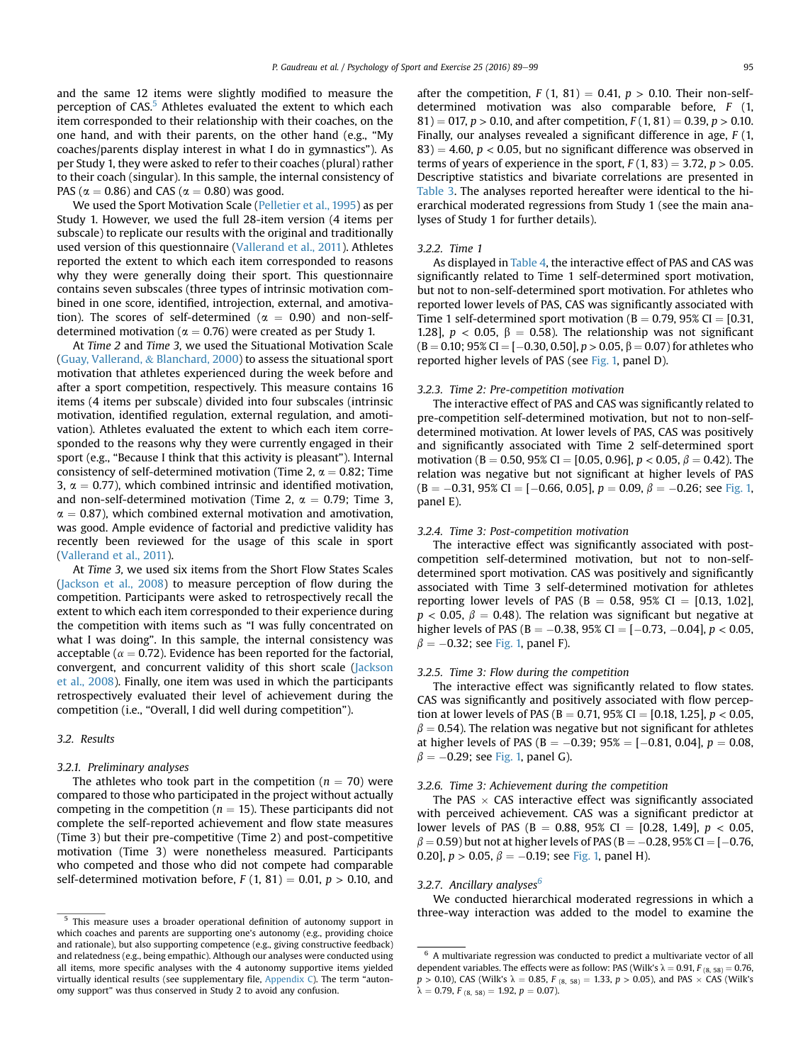and the same 12 items were slightly modified to measure the perception of  $CAS$ <sup>5</sup> Athletes evaluated the extent to which each item corresponded to their relationship with their coaches, on the one hand, and with their parents, on the other hand (e.g., "My coaches/parents display interest in what I do in gymnastics"). As per Study 1, they were asked to refer to their coaches (plural) rather to their coach (singular). In this sample, the internal consistency of PAS ( $\alpha = 0.86$ ) and CAS ( $\alpha = 0.80$ ) was good.

We used the Sport Motivation Scale [\(Pelletier et al., 1995](#page-10-0)) as per Study 1. However, we used the full 28-item version (4 items per subscale) to replicate our results with the original and traditionally used version of this questionnaire [\(Vallerand et al., 2011](#page-10-0)). Athletes reported the extent to which each item corresponded to reasons why they were generally doing their sport. This questionnaire contains seven subscales (three types of intrinsic motivation combined in one score, identified, introjection, external, and amotivation). The scores of self-determined ( $\alpha = 0.90$ ) and non-selfdetermined motivation ( $\alpha = 0.76$ ) were created as per Study 1.

At Time 2 and Time 3, we used the Situational Motivation Scale ([Guay, Vallerand,](#page-10-0) & [Blanchard, 2000](#page-10-0)) to assess the situational sport motivation that athletes experienced during the week before and after a sport competition, respectively. This measure contains 16 items (4 items per subscale) divided into four subscales (intrinsic motivation, identified regulation, external regulation, and amotivation). Athletes evaluated the extent to which each item corresponded to the reasons why they were currently engaged in their sport (e.g., "Because I think that this activity is pleasant"). Internal consistency of self-determined motivation (Time 2,  $\alpha = 0.82$ ; Time 3,  $\alpha = 0.77$ ), which combined intrinsic and identified motivation, and non-self-determined motivation (Time 2,  $\alpha = 0.79$ ; Time 3,  $\alpha = 0.87$ ), which combined external motivation and amotivation, was good. Ample evidence of factorial and predictive validity has recently been reviewed for the usage of this scale in sport ([Vallerand et al., 2011\)](#page-10-0).

At Time 3, we used six items from the Short Flow States Scales ([Jackson et al., 2008](#page-10-0)) to measure perception of flow during the competition. Participants were asked to retrospectively recall the extent to which each item corresponded to their experience during the competition with items such as "I was fully concentrated on what I was doing". In this sample, the internal consistency was acceptable ( $\alpha = 0.72$ ). Evidence has been reported for the factorial, convergent, and concurrent validity of this short scale [\(Jackson](#page-10-0) [et al., 2008](#page-10-0)). Finally, one item was used in which the participants retrospectively evaluated their level of achievement during the competition (i.e., "Overall, I did well during competition").

## 3.2. Results

## 3.2.1. Preliminary analyses

The athletes who took part in the competition ( $n = 70$ ) were compared to those who participated in the project without actually competing in the competition ( $n = 15$ ). These participants did not complete the self-reported achievement and flow state measures (Time 3) but their pre-competitive (Time 2) and post-competitive motivation (Time 3) were nonetheless measured. Participants who competed and those who did not compete had comparable self-determined motivation before,  $F(1, 81) = 0.01$ ,  $p > 0.10$ , and after the competition,  $F(1, 81) = 0.41$ ,  $p > 0.10$ . Their non-selfdetermined motivation was also comparable before, F (1, 81) = 017,  $p > 0.10$ , and after competition,  $F(1, 81) = 0.39$ ,  $p > 0.10$ . Finally, our analyses revealed a significant difference in age,  $F(1, 1)$  $83$ ) = 4.60,  $p < 0.05$ , but no significant difference was observed in terms of years of experience in the sport,  $F(1, 83) = 3.72$ ,  $p > 0.05$ . Descriptive statistics and bivariate correlations are presented in [Table 3](#page-7-0). The analyses reported hereafter were identical to the hierarchical moderated regressions from Study 1 (see the main analyses of Study 1 for further details).

#### 3.2.2. Time 1

As displayed in [Table 4,](#page-7-0) the interactive effect of PAS and CAS was significantly related to Time 1 self-determined sport motivation, but not to non-self-determined sport motivation. For athletes who reported lower levels of PAS, CAS was significantly associated with Time 1 self-determined sport motivation ( $B = 0.79$ , 95% CI = [0.31, 1.28],  $p < 0.05$ ,  $\beta = 0.58$ ). The relationship was not significant  $(B = 0.10; 95\% \text{ CI} = [-0.30, 0.50], p > 0.05, \beta = 0.07) \text{ for } \text{athletes}$  who reported higher levels of PAS (see [Fig. 1,](#page-4-0) panel D).

#### 3.2.3. Time 2: Pre-competition motivation

The interactive effect of PAS and CAS was significantly related to pre-competition self-determined motivation, but not to non-selfdetermined motivation. At lower levels of PAS, CAS was positively and significantly associated with Time 2 self-determined sport motivation (B = 0.50, 95% CI = [0.05, 0.96],  $p < 0.05$ ,  $\beta = 0.42$ ). The relation was negative but not significant at higher levels of PAS  $(B = -0.31, 95\% \text{ CI} = [-0.66, 0.05], p = 0.09, \beta = -0.26; \text{ see Fig. 1,}$  $(B = -0.31, 95\% \text{ CI} = [-0.66, 0.05], p = 0.09, \beta = -0.26; \text{ see Fig. 1,}$  $(B = -0.31, 95\% \text{ CI} = [-0.66, 0.05], p = 0.09, \beta = -0.26; \text{ see Fig. 1,}$ panel E).

#### 3.2.4. Time 3: Post-competition motivation

The interactive effect was significantly associated with postcompetition self-determined motivation, but not to non-selfdetermined sport motivation. CAS was positively and significantly associated with Time 3 self-determined motivation for athletes reporting lower levels of PAS (B = 0.58, 95% CI = [0.13, 1.02],  $p < 0.05$ ,  $\beta = 0.48$ ). The relation was significant but negative at higher levels of PAS (B =  $-0.38$ , 95% CI = [ $-0.73$ ,  $-0.04$ ], p < 0.05,  $\beta = -0.32$ ; see [Fig. 1,](#page-4-0) panel F).

## 3.2.5. Time 3: Flow during the competition

The interactive effect was significantly related to flow states. CAS was significantly and positively associated with flow perception at lower levels of PAS (B = 0.71, 95% CI = [0.18, 1.25],  $p < 0.05$ ,  $\beta$  = 0.54). The relation was negative but not significant for athletes at higher levels of PAS ( $B = -0.39$ ;  $95\% = [-0.81, 0.04]$ ,  $p = 0.08$ ,  $\beta = -0.29$ ; see [Fig. 1,](#page-4-0) panel G).

# 3.2.6. Time 3: Achievement during the competition

The PAS  $\times$  CAS interactive effect was significantly associated with perceived achievement. CAS was a significant predictor at lower levels of PAS (B = 0.88, 95% CI = [0.28, 1.49],  $p < 0.05$ ,  $\beta = 0.59$ ) but not at higher levels of PAS (B  $= -0.28$ , 95% CI  $= [-0.76,$ 0.20],  $p > 0.05$ ,  $\beta = -0.19$ ; see [Fig. 1,](#page-4-0) panel H).

## 3.2.7. Ancillary analyses<sup>6</sup>

We conducted hierarchical moderated regressions in which a  $\frac{1}{\text{This measure uses a broader operational definition of automy support in}}$  three-way interaction was added to the model to examine the

which coaches and parents are supporting one's autonomy (e.g., providing choice and rationale), but also supporting competence (e.g., giving constructive feedback) and relatedness (e.g., being empathic). Although our analyses were conducted using all items, more specific analyses with the 4 autonomy supportive items yielded virtually identical results (see supplementary file, Appendix C). The term "autonomy support" was thus conserved in Study 2 to avoid any confusion.

 $6$  A multivariate regression was conducted to predict a multivariate vector of all dependent variables. The effects were as follow: PAS (Wilk's  $\lambda = 0.91$ ,  $F_{(8, 58)} = 0.76$ ,  $p > 0.10$ ), CAS (Wilk's  $\lambda = 0.85$ ,  $F_{(8, 58)} = 1.33$ ,  $p > 0.05$ ), and PAS  $\times$  CAS (Wilk's  $\lambda = 0.79$ ,  $F_{(8, 58)} = 1.92$ ,  $p = 0.07$ ).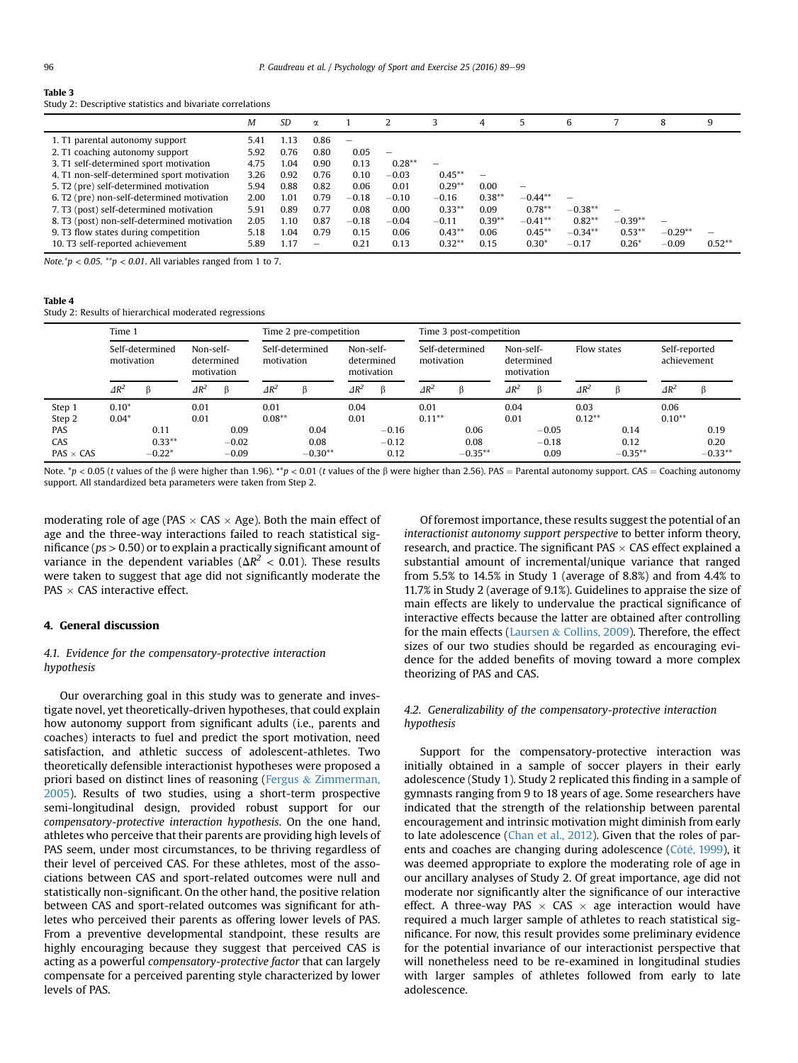<span id="page-7-0"></span>

| Table 3 |  |
|---------|--|
|---------|--|

|  |  |  |  |  | Study 2: Descriptive statistics and bivariate correlations |
|--|--|--|--|--|------------------------------------------------------------|
|--|--|--|--|--|------------------------------------------------------------|

|                                             | M    | SD   | $\alpha$                 |         |           |           | 4                        | 5         | 6         |           | 8         | 9        |
|---------------------------------------------|------|------|--------------------------|---------|-----------|-----------|--------------------------|-----------|-----------|-----------|-----------|----------|
| 1. T1 parental autonomy support             | 5.41 | 1.13 | 0.86                     | -       |           |           |                          |           |           |           |           |          |
| 2. T1 coaching autonomy support             | 5.92 | 0.76 | 0.80                     | 0.05    | -         |           |                          |           |           |           |           |          |
| 3. T1 self-determined sport motivation      | 4.75 | 1.04 | 0.90                     | 0.13    | $0.28***$ | -         |                          |           |           |           |           |          |
| 4. T1 non-self-determined sport motivation  | 3.26 | 0.92 | 0.76                     | 0.10    | $-0.03$   | $0.45***$ | $\overline{\phantom{a}}$ |           |           |           |           |          |
| 5. T2 (pre) self-determined motivation      | 5.94 | 0.88 | 0.82                     | 0.06    | 0.01      | $0.29**$  | 0.00                     | -         |           |           |           |          |
| 6. T2 (pre) non-self-determined motivation  | 2.00 | 1.01 | 0.79                     | $-0.18$ | $-0.10$   | $-0.16$   | $0.38***$                | $-0.44**$ |           |           |           |          |
| 7. T3 (post) self-determined motivation     | 5.91 | 0.89 | 0.77                     | 0.08    | 0.00      | $0.33***$ | 0.09                     | $0.78**$  | $-0.38**$ |           |           |          |
| 8. T3 (post) non-self-determined motivation | 2.05 | 1.10 | 0.87                     | $-0.18$ | $-0.04$   | $-0.11$   | $0.39**$                 | $-0.41**$ | $0.82**$  | $-0.39**$ |           |          |
| 9. T3 flow states during competition        | 5.18 | L.04 | 0.79                     | 0.15    | 0.06      | $0.43**$  | 0.06                     | $0.45***$ | $-0.34**$ | $0.53***$ | $-0.29**$ |          |
| 10. T3 self-reported achievement            | 5.89 | 1.17 | $\overline{\phantom{0}}$ | 0.21    | 0.13      | $0.32**$  | 0.15                     | $0.30*$   | $-0.17$   | $0.26*$   | $-0.09$   | $0.52**$ |

Note.\* $p < 0.05$ .\*\* $p < 0.01$ . All variables ranged from 1 to 7.

#### Table 4

Study 2: Results of hierarchical moderated regressions

|                                       | Time 1                        |                               |              |                            |                                       | Time 2 pre-competition    |                               |                            | Time 3 post-competition               |                           |                               |                            |                                       |                           |                  |                           |                              |  |
|---------------------------------------|-------------------------------|-------------------------------|--------------|----------------------------|---------------------------------------|---------------------------|-------------------------------|----------------------------|---------------------------------------|---------------------------|-------------------------------|----------------------------|---------------------------------------|---------------------------|------------------|---------------------------|------------------------------|--|
|                                       | Self-determined<br>motivation |                               |              |                            | Non-self-<br>determined<br>motivation |                           | Self-determined<br>motivation |                            | Non-self-<br>determined<br>motivation |                           | Self-determined<br>motivation |                            | Non-self-<br>determined<br>motivation |                           | Flow states      |                           | Self-reported<br>achievement |  |
|                                       | $\Delta R^2$                  |                               | $\Delta R^2$ |                            | $\Delta R^2$                          |                           | $\Delta R^2$                  |                            | $\Delta R^2$                          |                           | $\Delta R^2$                  |                            | $\Delta R^2$                          |                           | $\Delta R^2$     |                           |                              |  |
| Step 1<br>Step 2                      | $0.10*$<br>$0.04*$            |                               | 0.01<br>0.01 |                            | 0.01<br>$0.08***$                     |                           | 0.04<br>0.01                  |                            | 0.01<br>$0.11***$                     |                           | 0.04<br>0.01                  |                            | 0.03<br>$0.12***$                     |                           | 0.06<br>$0.10**$ |                           |                              |  |
| <b>PAS</b><br>CAS<br>$PAS \times CAS$ |                               | 0.11<br>$0.33***$<br>$-0.22*$ |              | 0.09<br>$-0.02$<br>$-0.09$ |                                       | 0.04<br>0.08<br>$-0.30**$ |                               | $-0.16$<br>$-0.12$<br>0.12 |                                       | 0.06<br>0.08<br>$-0.35**$ |                               | $-0.05$<br>$-0.18$<br>0.09 |                                       | 0.14<br>0.12<br>$-0.35**$ |                  | 0.19<br>0.20<br>$-0.33**$ |                              |  |

Note. \*p < 0.05 (t values of the  $\beta$  were higher than 1.96). \*\*p < 0.01 (t values of the  $\beta$  were higher than 2.56). PAS = Parental autonomy support. CAS = Coaching autonomy support. All standardized beta parameters were taken from Step 2.

moderating role of age (PAS  $\times$  CAS  $\times$  Age). Both the main effect of age and the three-way interactions failed to reach statistical significance ( $ps > 0.50$ ) or to explain a practically significant amount of variance in the dependent variables ( $\Delta R^2$  < 0.01). These results were taken to suggest that age did not significantly moderate the PAS  $\times$  CAS interactive effect.

# 4. General discussion

# 4.1. Evidence for the compensatory-protective interaction hypothesis

Our overarching goal in this study was to generate and investigate novel, yet theoretically-driven hypotheses, that could explain how autonomy support from significant adults (i.e., parents and coaches) interacts to fuel and predict the sport motivation, need satisfaction, and athletic success of adolescent-athletes. Two theoretically defensible interactionist hypotheses were proposed a priori based on distinct lines of reasoning [\(Fergus](#page-10-0) & [Zimmerman,](#page-10-0) [2005](#page-10-0)). Results of two studies, using a short-term prospective semi-longitudinal design, provided robust support for our compensatory-protective interaction hypothesis. On the one hand, athletes who perceive that their parents are providing high levels of PAS seem, under most circumstances, to be thriving regardless of their level of perceived CAS. For these athletes, most of the associations between CAS and sport-related outcomes were null and statistically non-significant. On the other hand, the positive relation between CAS and sport-related outcomes was significant for athletes who perceived their parents as offering lower levels of PAS. From a preventive developmental standpoint, these results are highly encouraging because they suggest that perceived CAS is acting as a powerful compensatory-protective factor that can largely compensate for a perceived parenting style characterized by lower levels of PAS.

Of foremost importance, these results suggest the potential of an interactionist autonomy support perspective to better inform theory, research, and practice. The significant PAS  $\times$  CAS effect explained a substantial amount of incremental/unique variance that ranged from 5.5% to 14.5% in Study 1 (average of 8.8%) and from 4.4% to 11.7% in Study 2 (average of 9.1%). Guidelines to appraise the size of main effects are likely to undervalue the practical significance of interactive effects because the latter are obtained after controlling for the main effects ([Laursen](#page-10-0) & [Collins, 2009\)](#page-10-0). Therefore, the effect sizes of our two studies should be regarded as encouraging evidence for the added benefits of moving toward a more complex theorizing of PAS and CAS.

# 4.2. Generalizability of the compensatory-protective interaction hypothesis

Support for the compensatory-protective interaction was initially obtained in a sample of soccer players in their early adolescence (Study 1). Study 2 replicated this finding in a sample of gymnasts ranging from 9 to 18 years of age. Some researchers have indicated that the strength of the relationship between parental encouragement and intrinsic motivation might diminish from early to late adolescence [\(Chan et al., 2012](#page-9-0)). Given that the roles of parents and coaches are changing during adolescence (Côté, 1999), it was deemed appropriate to explore the moderating role of age in our ancillary analyses of Study 2. Of great importance, age did not moderate nor significantly alter the significance of our interactive effect. A three-way PAS  $\times$  CAS  $\times$  age interaction would have required a much larger sample of athletes to reach statistical significance. For now, this result provides some preliminary evidence for the potential invariance of our interactionist perspective that will nonetheless need to be re-examined in longitudinal studies with larger samples of athletes followed from early to late adolescence.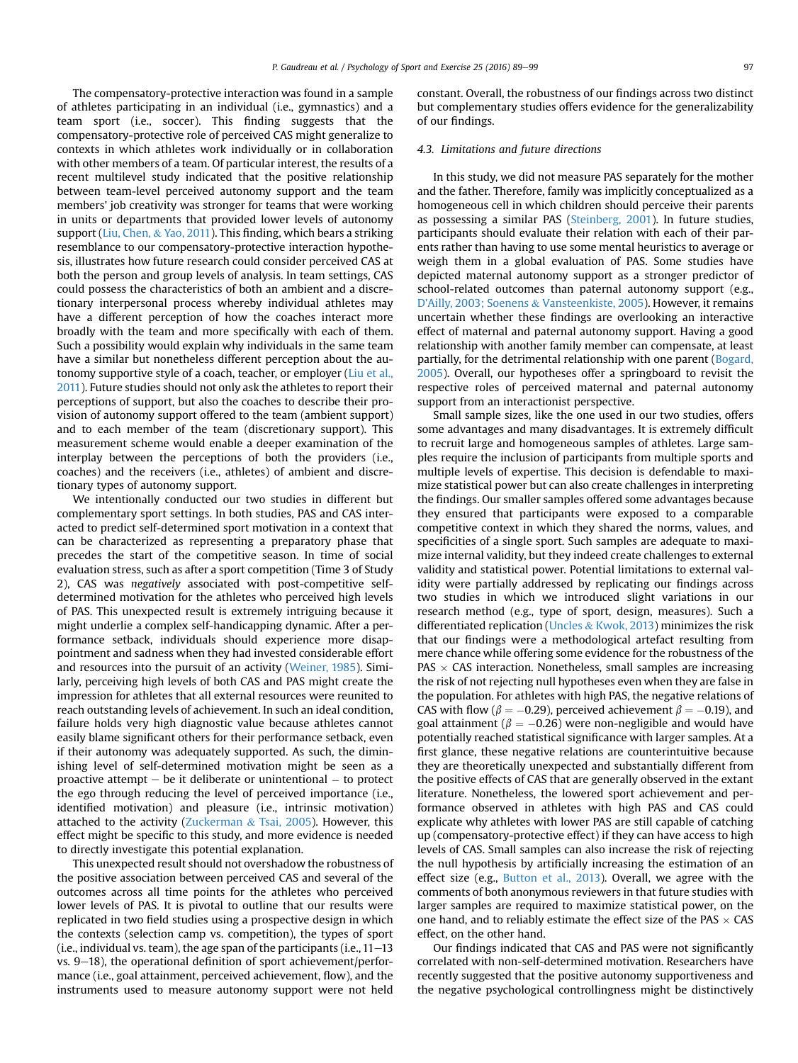The compensatory-protective interaction was found in a sample of athletes participating in an individual (i.e., gymnastics) and a team sport (i.e., soccer). This finding suggests that the compensatory-protective role of perceived CAS might generalize to contexts in which athletes work individually or in collaboration with other members of a team. Of particular interest, the results of a recent multilevel study indicated that the positive relationship between team-level perceived autonomy support and the team members' job creativity was stronger for teams that were working in units or departments that provided lower levels of autonomy support ([Liu, Chen,](#page-10-0) & [Yao, 2011](#page-10-0)). This finding, which bears a striking resemblance to our compensatory-protective interaction hypothesis, illustrates how future research could consider perceived CAS at both the person and group levels of analysis. In team settings, CAS could possess the characteristics of both an ambient and a discretionary interpersonal process whereby individual athletes may have a different perception of how the coaches interact more broadly with the team and more specifically with each of them. Such a possibility would explain why individuals in the same team have a similar but nonetheless different perception about the autonomy supportive style of a coach, teacher, or employer [\(Liu et al.,](#page-10-0) [2011](#page-10-0)). Future studies should not only ask the athletes to report their perceptions of support, but also the coaches to describe their provision of autonomy support offered to the team (ambient support) and to each member of the team (discretionary support). This measurement scheme would enable a deeper examination of the interplay between the perceptions of both the providers (i.e., coaches) and the receivers (i.e., athletes) of ambient and discretionary types of autonomy support.

We intentionally conducted our two studies in different but complementary sport settings. In both studies, PAS and CAS interacted to predict self-determined sport motivation in a context that can be characterized as representing a preparatory phase that precedes the start of the competitive season. In time of social evaluation stress, such as after a sport competition (Time 3 of Study 2), CAS was negatively associated with post-competitive selfdetermined motivation for the athletes who perceived high levels of PAS. This unexpected result is extremely intriguing because it might underlie a complex self-handicapping dynamic. After a performance setback, individuals should experience more disappointment and sadness when they had invested considerable effort and resources into the pursuit of an activity [\(Weiner, 1985\)](#page-10-0). Similarly, perceiving high levels of both CAS and PAS might create the impression for athletes that all external resources were reunited to reach outstanding levels of achievement. In such an ideal condition, failure holds very high diagnostic value because athletes cannot easily blame significant others for their performance setback, even if their autonomy was adequately supported. As such, the diminishing level of self-determined motivation might be seen as a proactive attempt – be it deliberate or unintentional – to protect the ego through reducing the level of perceived importance (i.e., identified motivation) and pleasure (i.e., intrinsic motivation) attached to the activity ([Zuckerman](#page-10-0)  $&$  [Tsai, 2005\)](#page-10-0). However, this effect might be specific to this study, and more evidence is needed to directly investigate this potential explanation.

This unexpected result should not overshadow the robustness of the positive association between perceived CAS and several of the outcomes across all time points for the athletes who perceived lower levels of PAS. It is pivotal to outline that our results were replicated in two field studies using a prospective design in which the contexts (selection camp vs. competition), the types of sport (i.e., individual vs. team), the age span of the participants (i.e.,  $11-13$ vs.  $9-18$ ), the operational definition of sport achievement/performance (i.e., goal attainment, perceived achievement, flow), and the instruments used to measure autonomy support were not held

constant. Overall, the robustness of our findings across two distinct but complementary studies offers evidence for the generalizability of our findings.

# 4.3. Limitations and future directions

In this study, we did not measure PAS separately for the mother and the father. Therefore, family was implicitly conceptualized as a homogeneous cell in which children should perceive their parents as possessing a similar PAS [\(Steinberg, 2001\)](#page-10-0). In future studies, participants should evaluate their relation with each of their parents rather than having to use some mental heuristics to average or weigh them in a global evaluation of PAS. Some studies have depicted maternal autonomy support as a stronger predictor of school-related outcomes than paternal autonomy support (e.g., [D'Ailly, 2003; Soenens](#page-10-0) & [Vansteenkiste, 2005\)](#page-10-0). However, it remains uncertain whether these findings are overlooking an interactive effect of maternal and paternal autonomy support. Having a good relationship with another family member can compensate, at least partially, for the detrimental relationship with one parent [\(Bogard,](#page-9-0) [2005\)](#page-9-0). Overall, our hypotheses offer a springboard to revisit the respective roles of perceived maternal and paternal autonomy support from an interactionist perspective.

Small sample sizes, like the one used in our two studies, offers some advantages and many disadvantages. It is extremely difficult to recruit large and homogeneous samples of athletes. Large samples require the inclusion of participants from multiple sports and multiple levels of expertise. This decision is defendable to maximize statistical power but can also create challenges in interpreting the findings. Our smaller samples offered some advantages because they ensured that participants were exposed to a comparable competitive context in which they shared the norms, values, and specificities of a single sport. Such samples are adequate to maximize internal validity, but they indeed create challenges to external validity and statistical power. Potential limitations to external validity were partially addressed by replicating our findings across two studies in which we introduced slight variations in our research method (e.g., type of sport, design, measures). Such a differentiated replication [\(Uncles](#page-10-0) & [Kwok, 2013](#page-10-0)) minimizes the risk that our findings were a methodological artefact resulting from mere chance while offering some evidence for the robustness of the  $PAS \times CAS$  interaction. Nonetheless, small samples are increasing the risk of not rejecting null hypotheses even when they are false in the population. For athletes with high PAS, the negative relations of CAS with flow ( $\beta = -0.29$ ), perceived achievement  $\beta = -0.19$ ), and goal attainment ( $\beta = -0.26$ ) were non-negligible and would have potentially reached statistical significance with larger samples. At a first glance, these negative relations are counterintuitive because they are theoretically unexpected and substantially different from the positive effects of CAS that are generally observed in the extant literature. Nonetheless, the lowered sport achievement and performance observed in athletes with high PAS and CAS could explicate why athletes with lower PAS are still capable of catching up (compensatory-protective effect) if they can have access to high levels of CAS. Small samples can also increase the risk of rejecting the null hypothesis by artificially increasing the estimation of an effect size (e.g., [Button et al., 2013](#page-9-0)). Overall, we agree with the comments of both anonymous reviewers in that future studies with larger samples are required to maximize statistical power, on the one hand, and to reliably estimate the effect size of the PAS  $\times$  CAS effect, on the other hand.

Our findings indicated that CAS and PAS were not significantly correlated with non-self-determined motivation. Researchers have recently suggested that the positive autonomy supportiveness and the negative psychological controllingness might be distinctively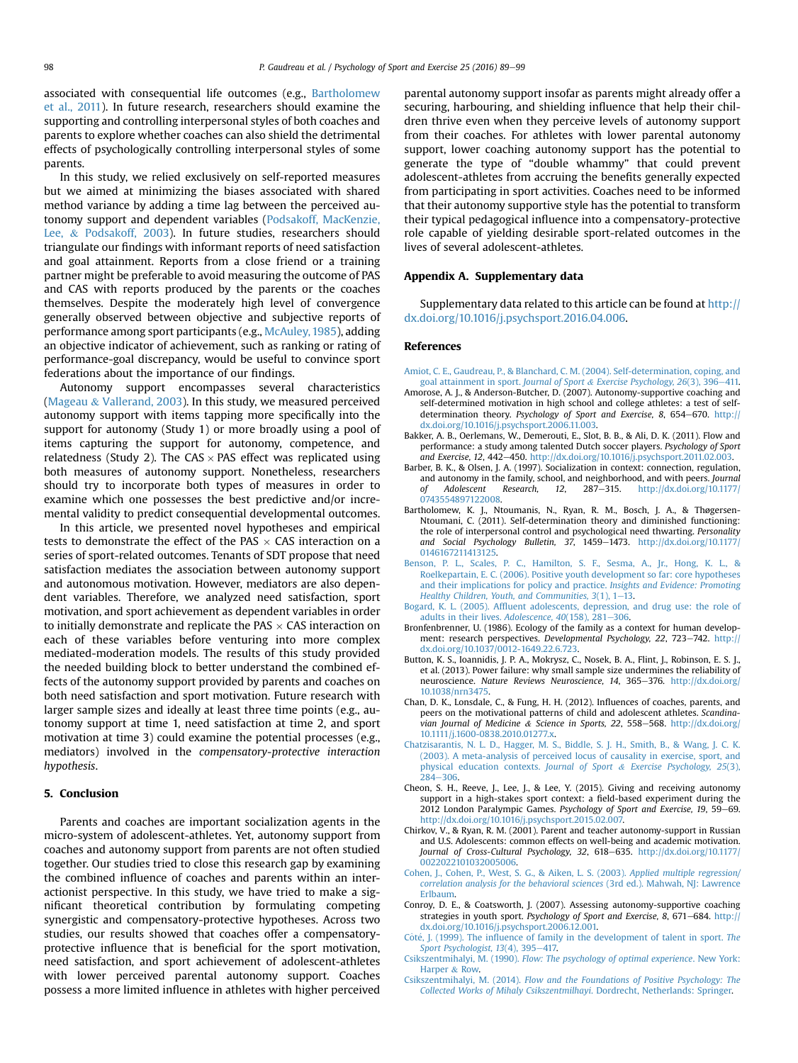<span id="page-9-0"></span>associated with consequential life outcomes (e.g., Bartholomew et al., 2011). In future research, researchers should examine the supporting and controlling interpersonal styles of both coaches and parents to explore whether coaches can also shield the detrimental effects of psychologically controlling interpersonal styles of some parents.

In this study, we relied exclusively on self-reported measures but we aimed at minimizing the biases associated with shared method variance by adding a time lag between the perceived autonomy support and dependent variables [\(Podsakoff, MacKenzie,](#page-10-0) [Lee,](#page-10-0) & [Podsakoff, 2003](#page-10-0)). In future studies, researchers should triangulate our findings with informant reports of need satisfaction and goal attainment. Reports from a close friend or a training partner might be preferable to avoid measuring the outcome of PAS and CAS with reports produced by the parents or the coaches themselves. Despite the moderately high level of convergence generally observed between objective and subjective reports of performance among sport participants (e.g., [McAuley, 1985](#page-10-0)), adding an objective indicator of achievement, such as ranking or rating of performance-goal discrepancy, would be useful to convince sport federations about the importance of our findings.

Autonomy support encompasses several characteristics ([Mageau](#page-10-0) & [Vallerand, 2003](#page-10-0)). In this study, we measured perceived autonomy support with items tapping more specifically into the support for autonomy (Study 1) or more broadly using a pool of items capturing the support for autonomy, competence, and relatedness (Study 2). The CAS  $\times$  PAS effect was replicated using both measures of autonomy support. Nonetheless, researchers should try to incorporate both types of measures in order to examine which one possesses the best predictive and/or incremental validity to predict consequential developmental outcomes.

In this article, we presented novel hypotheses and empirical tests to demonstrate the effect of the PAS  $\times$  CAS interaction on a series of sport-related outcomes. Tenants of SDT propose that need satisfaction mediates the association between autonomy support and autonomous motivation. However, mediators are also dependent variables. Therefore, we analyzed need satisfaction, sport motivation, and sport achievement as dependent variables in order to initially demonstrate and replicate the PAS  $\times$  CAS interaction on each of these variables before venturing into more complex mediated-moderation models. The results of this study provided the needed building block to better understand the combined effects of the autonomy support provided by parents and coaches on both need satisfaction and sport motivation. Future research with larger sample sizes and ideally at least three time points (e.g., autonomy support at time 1, need satisfaction at time 2, and sport motivation at time 3) could examine the potential processes (e.g., mediators) involved in the compensatory-protective interaction hypothesis.

## 5. Conclusion

Parents and coaches are important socialization agents in the micro-system of adolescent-athletes. Yet, autonomy support from coaches and autonomy support from parents are not often studied together. Our studies tried to close this research gap by examining the combined influence of coaches and parents within an interactionist perspective. In this study, we have tried to make a significant theoretical contribution by formulating competing synergistic and compensatory-protective hypotheses. Across two studies, our results showed that coaches offer a compensatoryprotective influence that is beneficial for the sport motivation, need satisfaction, and sport achievement of adolescent-athletes with lower perceived parental autonomy support. Coaches possess a more limited influence in athletes with higher perceived parental autonomy support insofar as parents might already offer a securing, harbouring, and shielding influence that help their children thrive even when they perceive levels of autonomy support from their coaches. For athletes with lower parental autonomy support, lower coaching autonomy support has the potential to generate the type of "double whammy" that could prevent adolescent-athletes from accruing the benefits generally expected from participating in sport activities. Coaches need to be informed that their autonomy supportive style has the potential to transform their typical pedagogical influence into a compensatory-protective role capable of yielding desirable sport-related outcomes in the lives of several adolescent-athletes.

## Appendix A. Supplementary data

Supplementary data related to this article can be found at [http://](http://dx.doi.org/10.1016/j.psychsport.2016.04.006) [dx.doi.org/10.1016/j.psychsport.2016.04.006.](http://dx.doi.org/10.1016/j.psychsport.2016.04.006)

#### References

- [Amiot, C. E., Gaudreau, P., & Blanchard, C. M. \(2004\). Self-determination, coping, and](http://refhub.elsevier.com/S1469-0292(16)30049-8/sref1) [goal attainment in sport.](http://refhub.elsevier.com/S1469-0292(16)30049-8/sref1) Journal of Sport & [Exercise Psychology, 26](http://refhub.elsevier.com/S1469-0292(16)30049-8/sref1)(3),  $396-411$ .
- Amorose, A. J., & Anderson-Butcher, D. (2007). Autonomy-supportive coaching and self-determined motivation in high school and college athletes: a test of selfdetermination theory. Psychology of Sport and Exercise, 8, 654-670. [http://](http://dx.doi.org/10.1016/j.psychsport.2006.11.003) [dx.doi.org/10.1016/j.psychsport.2006.11.003.](http://dx.doi.org/10.1016/j.psychsport.2006.11.003)
- Bakker, A. B., Oerlemans, W., Demerouti, E., Slot, B. B., & Ali, D. K. (2011). Flow and performance: a study among talented Dutch soccer players. Psychology of Sport and Exercise, 12, 442-450. [http://dx.doi.org/10.1016/j.psychsport.2011.02.003.](http://dx.doi.org/10.1016/j.psychsport.2011.02.003)
- Barber, B. K., & Olsen, J. A. (1997). Socialization in context: connection, regulation, and autonomy in the family, school, and neighborhood, and with peers. Journal of  $\theta$  Adolescent Research, 12, 287–315. http://dx.doi.org/10.1177/ [http://dx.doi.org/10.1177/](http://dx.doi.org/10.1177/0743554897122008) [0743554897122008.](http://dx.doi.org/10.1177/0743554897122008)
- Bartholomew, K. J., Ntoumanis, N., Ryan, R. M., Bosch, J. A., & Thøgersen-Ntoumani, C. (2011). Self-determination theory and diminished functioning: the role of interpersonal control and psychological need thwarting. Personality and Social Psychology Bulletin, 37, 1459-1473. [http://dx.doi.org/10.1177/](http://dx.doi.org/10.1177/0146167211413125) [0146167211413125](http://dx.doi.org/10.1177/0146167211413125).
- [Benson, P. L., Scales, P. C., Hamilton, S. F., Sesma, A., Jr., Hong, K. L., &](http://refhub.elsevier.com/S1469-0292(16)30049-8/sref6) [Roelkepartain, E. C. \(2006\). Positive youth development so far: core hypotheses](http://refhub.elsevier.com/S1469-0292(16)30049-8/sref6) [and their implications for policy and practice.](http://refhub.elsevier.com/S1469-0292(16)30049-8/sref6) Insights and Evidence: Promoting Healthy Children, Youth, and Communities,  $3(1)$ ,  $1-13$ .
- Bogard, K. L. (2005). Affl[uent adolescents, depression, and drug use: the role of](http://refhub.elsevier.com/S1469-0292(16)30049-8/sref62) [adults in their lives.](http://refhub.elsevier.com/S1469-0292(16)30049-8/sref62) Adolescence,  $40(158)$ ,  $281-306$ .
- Bronfenbrenner, U. (1986). Ecology of the family as a context for human development: research perspectives. Developmental Psychology, 22, 723-742. [http://](http://dx.doi.org/10.1037/0012-1649.22.6.723) [dx.doi.org/10.1037/0012-1649.22.6.723](http://dx.doi.org/10.1037/0012-1649.22.6.723).
- Button, K. S., Ioannidis, J. P. A., Mokrysz, C., Nosek, B. A., Flint, J., Robinson, E. S. J., et al. (2013). Power failure: why small sample size undermines the reliability of neuroscience. Nature Reviews Neuroscience, 14, 365-376. [http://dx.doi.org/](http://dx.doi.org/10.1038/nrn3475) [10.1038/nrn3475.](http://dx.doi.org/10.1038/nrn3475)
- Chan, D. K., Lonsdale, C., & Fung, H. H. (2012). Influences of coaches, parents, and peers on the motivational patterns of child and adolescent athletes. Scandinavian Journal of Medicine & Science in Sports, 22, 558-568. [http://dx.doi.org/](http://dx.doi.org/10.1111/j.1600-0838.2010.01277.x) [10.1111/j.1600-0838.2010.01277.x.](http://dx.doi.org/10.1111/j.1600-0838.2010.01277.x)
- [Chatzisarantis, N. L. D., Hagger, M. S., Biddle, S. J. H., Smith, B., & Wang, J. C. K.](http://refhub.elsevier.com/S1469-0292(16)30049-8/sref60) [\(2003\). A meta-analysis of perceived locus of causality in exercise, sport, and](http://refhub.elsevier.com/S1469-0292(16)30049-8/sref60) [physical education contexts.](http://refhub.elsevier.com/S1469-0292(16)30049-8/sref60) Journal of Sport & [Exercise Psychology, 25](http://refhub.elsevier.com/S1469-0292(16)30049-8/sref60)(3),  $284 - 306$  $284 - 306$ .
- Cheon, S. H., Reeve, J., Lee, J., & Lee, Y. (2015). Giving and receiving autonomy support in a high-stakes sport context: a field-based experiment during the 2012 London Paralympic Games. Psychology of Sport and Exercise, 19, 59-69. [http://dx.doi.org/10.1016/j.psychsport.2015.02.007.](http://dx.doi.org/10.1016/j.psychsport.2015.02.007)
- Chirkov, V., & Ryan, R. M. (2001). Parent and teacher autonomy-support in Russian and U.S. Adolescents: common effects on well-being and academic motivation. Journal of Cross-Cultural Psychology, 32, 618-635. [http://dx.doi.org/10.1177/](http://dx.doi.org/10.1177/0022022101032005006) [0022022101032005006](http://dx.doi.org/10.1177/0022022101032005006).
- [Cohen, J., Cohen, P., West, S. G., & Aiken, L. S. \(2003\).](http://refhub.elsevier.com/S1469-0292(16)30049-8/sref11) Applied multiple regression/ [correlation analysis for the behavioral sciences](http://refhub.elsevier.com/S1469-0292(16)30049-8/sref11) (3rd ed.). Mahwah, NJ: Lawrence [Erlbaum](http://refhub.elsevier.com/S1469-0292(16)30049-8/sref11).
- Conroy, D. E., & Coatsworth, J. (2007). Assessing autonomy-supportive coaching strategies in youth sport. Psychology of Sport and Exercise, 8, 671-684. [http://](http://dx.doi.org/10.1016/j.psychsport.2006.12.001) [dx.doi.org/10.1016/j.psychsport.2006.12.001.](http://dx.doi.org/10.1016/j.psychsport.2006.12.001)
- Côté, J. (1999). The infl[uence of family in the development of talent in sport.](http://refhub.elsevier.com/S1469-0292(16)30049-8/sref13) The [Sport Psychologist, 13](http://refhub.elsevier.com/S1469-0292(16)30049-8/sref13)(4), 395-[417.](http://refhub.elsevier.com/S1469-0292(16)30049-8/sref13)
- Csikszentmihalyi, M. (1990). [Flow: The psychology of optimal experience](http://refhub.elsevier.com/S1469-0292(16)30049-8/sref14). New York: [Harper](http://refhub.elsevier.com/S1469-0292(16)30049-8/sref14) & [Row.](http://refhub.elsevier.com/S1469-0292(16)30049-8/sref14)
- Csikszentmihalyi, M. (2014). [Flow and the Foundations of Positive Psychology: The](http://refhub.elsevier.com/S1469-0292(16)30049-8/sref15) [Collected Works of Mihaly Csikszentmilhayi](http://refhub.elsevier.com/S1469-0292(16)30049-8/sref15). Dordrecht, Netherlands: Springer.